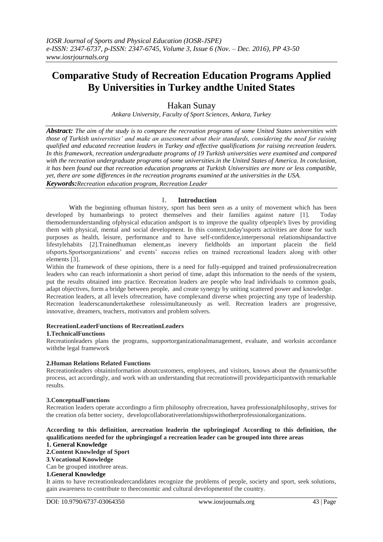# **Comparative Study of Recreation Education Programs Applied By Universities in Turkey andthe United States**

# Hakan Sunay

*Ankara University, Faculty of Sport Sciences, Ankara, Turkey*

*Abstract: The aim of the study is to compare the recreation programs of some United States universities with those of Turkish universities' and make an assessment about their standards, considering the need for raising qualified and educated recreation leaders in Turkey and effective qualifications for raising recreation leaders. In this framework, recreation undergraduate programs of 19 Turkish universities were examined and compared with the recreation undergraduate programs of some universities.in the United States of America. In conclusion, it has been found out that recreation education programs at Turkish Universities are more or less compatible, yet, there are some differences in the recreation programs examined at the universities in the USA. Keywords:Recreation education program, Recreation Leader*

#### **I. Introduction**

With the beginning ofhuman history, sport has been seen as a unity of movement which has been developed by humanbeings to protect themselves and their families against nature [1]. Today themodernunderstanding ofphysical education andsport is to improve the quality ofpeople's lives by providing them with physical, mental and social development. In this context,today'ssports activities are done for such purposes as health, leisure, performance and to have self-confidence,interpersonal relationshipsandactive lifestylehabits [2].Trainedhuman element,as inevery fieldholds an important placein the field ofsports.Sportsorganizations' and events' success relies on trained recreational leaders along with other elements [3].

Within the framework of these opinions, there is a need for fully-equipped and trained professionalrecreation leaders who can reach informationin a short period of time, adapt this information to the needs of the system, put the results obtained into practice. Recreation leaders are people who lead individuals to common goals, adapt objectives, form a bridge between people, and create synergy by uniting scattered power and knowledge. Recreation leaders, at all levels ofrecreation, have complexand diverse when projecting any type of leadership. Recreation leaderscanundertakethese rolessimultaneously as well. Recreation leaders are progressive, innovative, dreamers, teachers, motivators and problem solvers.

#### **RecreationLeaderFunctions of RecreationLeaders**

#### **1.TechnicalFunctions**

Recreationleaders plans the programs, supportorganizationalmanagement, evaluate, and worksin accordance withthe legal framework

#### **2.Human Relations Related Functions**

Recreationleaders obtaininformation aboutcustomers, employees, and visitors, knows about the dynamicsofthe process, act accordingly, and work with an understanding that recreationwill provideparticipantswith remarkable results.

#### **3.ConceptualFunctions**

Recreation leaders operate accordingto a firm philosophy ofrecreation, havea professionalphilosophy, strives for the creation ofa better society, developcollaborativerelationshipswithotherprofessionalorganizations.

## **According to this definition**, **arecreation leaderin the upbringingof According to this definition, the qualifications needed for the upbringingof a recreation leader can be grouped into three areas**

#### **1. General Knowledge**

**2.Content Knowledge of Sport**

**3**.**Vocational Knowledge**

Can be grouped intothree areas.

#### **1.General Knowledge**

It aims to have recreationleadercandidates recognize the problems of people, society and sport, seek solutions, gain awareness to contribute to theeconomic and cultural developmentof the country.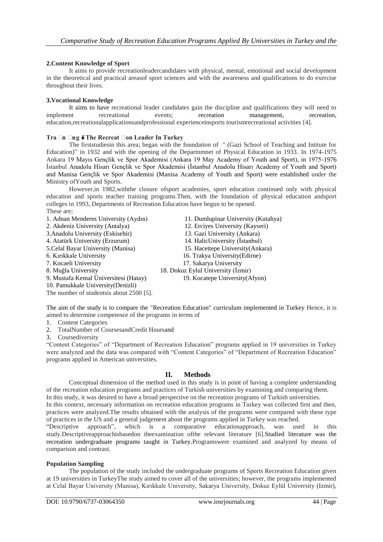#### **2.Content Knowledge of Sport**

It aims to provide recreationleadercandidates with physical, mental, emotional and social development in the theoretical and practical areasof sport sciences and with the awareness and qualifications to do exercise throughout their lives.

#### **3.Vocational Knowledge**

It aims to have recreational leader candidates gain the discipline and qualifications they will need to implement recreational events; recreation management, recreation, education,recreationalapplicationsandprofessional experienceinsports tourismrecreational activities [4].

#### **Tra**  $\Box$ **n**  $\Box$ ng **6 The Recreat**  $\Box$ **on Leader In Turkey**

The firststudiesin this area; began with the foundation of " (Gazi School of Teaching and Intitute for Education)" in 1932 and with the opening of the Departnmnet of Physical Education in 1933. In 1974-1975 Ankara 19 Mayıs Gençlik ve Spor Akademisi (Ankara 19 May Academy of Youth and Sport), in 1975-1976 İstanbul Anadolu Hisarı Gençlik ve Spor Akademisi (İstanbul Anadolu Hisarı Academy of Youth and Sport) and Manisa Gençlik ve Spor Akademisi (Manisa Academy of Youth and Sport) were established under the Ministry ofYouth and Sports.

However,in 1982,withthe closure ofsport academies, sport education continued only with physical education and sports teacher training programs.Then, with the foundation of physical education andsport colleges in 1993, Departments of Recreation Education have begun to be opened. These are;

1. Adnan Menderes University (Aydın) 11. Dumlupinar University (Kutahya) 2. Akdeniz University (Antalya) 12. Erciyes University (Kayseri) 3.Anadolu University (Eskisehir) 13. Gazi University (Ankara) 4. Atatürk University (Erzurum) 14. HalicUniversity (İstanbul) 5.Celal Bayar University (Manisa) 15. Hacettepe University(Ankara) 6. Kırıkkale University 16. Trakya University(Edirne) 7. Kocaeli University 17. Sakarya University 8. Muğla University 18. Dokuz Eylul University (İzmir) 9. Mustafa Kemal Üniversitesi (Hatay) 19. Kocatepe University(Afyon) 10. Pamukkale University(Denizli)

The number of studentsis about 2500 [5].

The aim of the study is to compare the "Recreation Education" curriculum implemented in Turkey Hence, it is aimed to determine competence of the programs in terms of

- 1. Content Categories
- 2. TotalNumber of CoursesandCredit Hoursand

3. Coursediversity

"Content Categories" of "Department of Recreation Education" programs applied in 19 universities in Turkey were analyzed and the data was compared with "Content Categories" of "Department of Recreation Education" programs applied in American universities.

#### **II. Methods**

Conceptual dimension of the method used in this study is in point of having a complete understanding of the recreation education programs and practices of Turkish universities by examining and comparing them.

In this study, it was desired to have a broad perspective on the recreation programs of Turkish universities. In this context, necessary information on recreation education programs in Turkey was collected first and then, practices were analyzed.The results obtained with the analysis of the programs were compared with these type of practices in the US and a general judgement about the programs applied in Turkey was reached.

"Descriptive approach", which is a comparative educationapproach, was used in this study.Descriptiveapproachisbasedon theexamination ofthe relevant literature [6].Studied literature was the recreation undergraduate programs taught in Turkey.Programswere examined and analyzed by means of comparison and contrast.

#### **Population Sampling**

The population of the study included the undergraduate programs of Sports Recreation Education given at 19 universities in TurkeyThe study aimed to cover all of the universities; however, the programs implemented at Celal Bayar University (Manisa), Kırıkkale University, Sakarya University, Dokuz Eylül University (Izmir),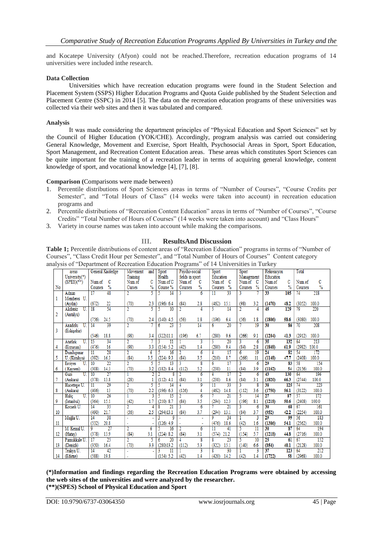and Kocatepe University (Afyon) could not be reached.Therefore, recreation education programs of 14 universities were included inthe research.

#### **Data Collection**

Universities which have recreation education programs were found in the Student Selection and Placement System (SSPS) Higher Education Programs and Quota Guide published by the Student Selection and Placement Centre (SSPC) in 2014 [5]. The data on the recreation education programs of these universities was collected via their web sites and then it was tabulated and compared.

#### **Analysis**

It was made considering the department principles of "Physical Education and Sport Sciences" set by the Council of Higher Education (YOK/CHE). Accordingly, program analysis was carried out considering General Knowledge, Movement and Exercise, Sport Health, Psychosocial Areas in Sport, Sport Education, Sport Management, and Recreation Content Education areas. These areas which constitutes Sport Sciences can be quite important for the training of a recreation leader in terms of acquiring general knowledge, content knowledge of sport, and vocational knowledge [4], [7], [8].

**Comparison (**Comparisons were made between)

- 1. Percentile distributions of Sport Sciences areas in terms of "Number of Courses", "Course Credits per Semester", and "Total Hours of Class" (14 weeks were taken into account) in recreation education programs and
- 2. Percentile distributions of "Recreation Content Education" areas in terms of "Number of Courses", "Course Credits" "Total Number of Hours of Courses" (14 weeks were taken into account) and "Class Hours"
- 3. Variety in course names was taken into account while making the comparisons.

## **III. ResultsAnd Discussion**

**Table 1;** Percentile distributions of content areas of "Recreation Education" programs in terms of "Number of Courses", "Class Credit Hour per Semester", and "Total Number of Hours of Courses" Content category analysis of "Department of Recreation Education Programs" of 14 Universities in Turkey

|                | areas               | General Knoledge                   | Movement       | and            | Sport           | Psycho-social   |                         | Sport                 | Sport      |                 | Rekreasyon      |                          | Total   |       |
|----------------|---------------------|------------------------------------|----------------|----------------|-----------------|-----------------|-------------------------|-----------------------|------------|-----------------|-----------------|--------------------------|---------|-------|
|                | University(*)       |                                    | Training       |                | Health          | fields in sport |                         | Education             | Management |                 | Education       |                          |         |       |
|                | $(SPES)(**)$        | C<br>Num.of                        | Num.of         | c              | Num.of C        | Num.of          | C                       | Num.of<br>c           | Num.of     | -C              | Num.of          | с                        | Num.of  | C     |
| No             |                     | %<br>Courses                       | Curses         | %              | Course %        | Courses         | $\frac{9}{6}$           | %<br>Courses          | Courses    | %               | Courses         | $\frac{9}{6}$            | Courses | %     |
|                | Adnan               | 48<br>$\overline{17}$              |                | 5              | 14              | 3               | 6                       | 33<br>11              | 3          |                 | 33              | 105                      | 74      | 218   |
| 1              | Menderes U          |                                    |                |                |                 |                 |                         |                       |            |                 |                 |                          |         |       |
|                | (Aydm)              | (672)<br>$\overline{22}$           | (70)           | 2.3            | (196)<br>6.4    | (84)            | 2.8                     | (462)<br>15.1         | (98)       | 3.2             | (1470)          | 48.2                     | (3052)  | 100.0 |
|                | Akdeniz<br>U        | 54<br>$\overline{18}$              | 2              | 5              | 10              |                 | 4                       | 5<br>14               | 2          | 4               | 45              | 129                      | 79      | 220   |
| $\overline{2}$ | (Antalya)           |                                    |                |                |                 |                 |                         |                       |            |                 |                 |                          |         |       |
|                |                     | 24.5<br>(756)                      | (70)           | 2.4            | (140)<br>4.5    | (56)            | 1.8                     | (196)<br>6.4          | (56)       | 1.8             | (1806)          | 58.6                     | (3080)  | 100.0 |
|                | Anadolu<br>U        | 39<br>14                           | 2              |                | 23<br>6         | 5               | 14                      | $\overline{20}$<br>6  |            | 19              | 30              | 86                       | 70      | 208   |
| 3              | (Eskişehir)         |                                    |                |                |                 |                 |                         |                       |            |                 |                 |                          |         |       |
|                |                     | 18.8<br>(546)                      | (98)           | 3.4            | (322)11.1       | (196)           | 6.7                     | (280)<br>9.6          | (266)      | 9.1             | (1204)          | 41.3                     | (2912)  | 100.0 |
|                | Atatürk<br>U        | 34<br>15                           | 2              |                | 11              |                 | ٦                       | 20<br>5               | 3          | 6               | 35              | 132                      | 64      | 213   |
| 4              | (Erzurum)           | (476)<br>16                        | (98)           | 3.3            | 5.2<br>(154)    | (42)            | 1.4                     | 9.4<br>(280)          | (84)       | 2.8             | (1848)          | 61.9                     | (2982)  | 100.0 |
|                | Dumlupmar           | $\overline{28}$<br>$\overline{11}$ |                | 6              | 16              |                 | 6                       | 15<br>4               | 6          | 19              | $\overline{24}$ | $\overline{\mathbf{82}}$ | 54      | 172   |
| 5              | U. (Kütahva)        | 16.3<br>(392)                      | (84)           | 3.5            | 9.3<br>(224)    | (84)            | 3.5                     | 8.7<br>(210)          | (266)      | 11              | (1148)          | 47.7                     | (2408)  | 100.0 |
|                | <b>Ercives</b><br>U | $\overline{22}$<br>10              | 2              |                | 13              |                 | R                       | 17<br>6               | 3          | 6               | 29              | 83                       | 58      | 154   |
| 6              | Kayseri)            | 14.3<br>(308)                      | (70)           | 3.2            | (182)<br>8.4    | (112)           | 5.2                     | (238)<br>11           | (84)       | 3.9             | (1162)          | 54                       | (2156)  | 100.0 |
|                | U.<br>Gazi          | 27<br>10                           |                |                | g               |                 | $\overline{6}$          | 17                    | 2          | 6               | 43              | 130                      | 64      | 196   |
| 7              | (Ankara)            | 13.8<br>(378)                      | (28)           |                | (112)<br>4.1    | (84)            | 3.1                     | 8.6<br>(238)          | (84)       | 3.1             | (1820)          | 66.3                     | (2744)  | 100.0 |
|                | Hacettepe U.        | 29<br>$\overline{11}$              | 2              | 5              | 14              | 4               | 9                       | 33<br>$\overline{11}$ | 3          | R               | 38              | 125                      | 74      | 223   |
| 8              | (Ankara)            | 13<br>(406)                        | (70)           | 2.2            | 6.3<br>(196)    | (126)           | 4                       | 14.8<br>(462)         | (112)      | 3.6             | (1750)          | 56.1                     | (3122)  | 100.0 |
|                | Halic<br>U.         | $\overline{26}$<br>10              |                | 3              | 15              |                 | $\overline{6}$          | 21                    | 5          | 14              | $\overline{27}$ | 87                       | 57      | 172   |
| 9              | (İstanbul)          | 15.1<br>(364)                      | (42)           | 1.7            | 8.7<br>(210)    | (84)            | 3.5                     | 12.3<br>(294)         | (196)      | 8.1             | (1218)          | 50.6                     | (2408)  | 100.0 |
|                | Kocaeli U           | 35<br>14                           | 2              | Δ              | $\overline{21}$ | ٦               | $\overline{6}$          | $\overline{21}$       | 3          | 6               | 30              | 68                       | 67      | 161   |
| 10             |                     | 21.7<br>(490)                      | (56)           | 2.5            | (294)13.1       | (84)            | 3.7                     | 13.1<br>(294)         | (84)       | 3.7             | (952)           | 42.2                     | (2254)  | 100.0 |
|                | Muğla U.            | 38<br>14                           |                |                | 9               |                 | ä,                      | 34<br>٥               |            | ٦               | $\overline{29}$ | 99                       | 56      | 183   |
| 11             |                     | 20.8<br>(532)                      |                |                | (126)<br>4.9    |                 | ÷                       | 18.6<br>(476)         | (42)       | 1.6             | (1386)          | 54.1                     | (2562)  | 100.0 |
|                | M. Kemal U.         | 9<br>$\overline{27}$               | $\overline{2}$ | $\overline{6}$ | 16              | 2               | 6                       | 41<br>$\overline{11}$ | 5          | $\overline{11}$ | 30              | $\overline{87}$          | 64      | 194   |
| 12             | (Hatav)             | 13.9<br>(378)                      | (84)           | 3.1            | $(224)$ 8.2     | (84)            | 3.1                     | 21.2<br>(574)         | (154)      | 5.7             | (1218)          | 44.8                     | (2716)  | 100.0 |
|                | Pamukkale U         | 25<br>17                           | 2              | 5              | $\overline{20}$ | 4               | $\overline{\mathbf{8}}$ | 23<br>g               | 5          | 10              | 25              | 61                       | 67      | 152   |
| 13             | (Denizli)           | (350)<br>16.4                      | (70)           | 3.3            | (280)13.2       | (112)           | 5.3                     | 15.1<br>(322)         | (140)      | 6.6             | (854)           | 40.1                     | (2128)  | 100.0 |
|                | Trakva U.           | 42<br>14                           |                |                |                 |                 | ٦                       | 30<br>R               |            | 3               | 37              | 123                      | 64      | 212   |
| 14             | (Edirne)            | 19.8<br>(588)                      |                |                | (154) 5.2       | (42)            | 1.4                     | 14.2<br>(420)         | (42)       | 1.4             | (1722)          | 58                       | (2968)  | 100.0 |

**(\*)Information and findings regarding the Recreation Education Programs were obtained by accessing the web sites of the universities and were analyzed by the researcher. (\*\*)(SPES) School of Physical Education and Sport**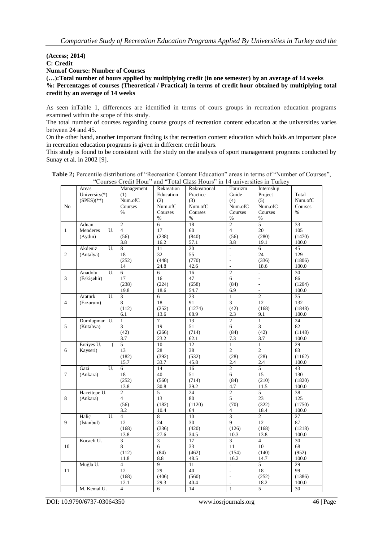#### **(Access; 2014) C: Credit Num.of Course: Number of Courses (…):Total number of hours applied by multiplying credit (in one semester) by an average of 14 weeks %: Percentages of courses (Theoretical / Practical) in terms of credit hour obtained by multiplying total credit by an average of 14 weeks**

As seen inTable 1, differences are identified in terms of cours groups in recreation education programs examined within the scope of this study.

The total number of courses regarding course groups of recreation content education at the universities varies between 24 and 45.

On the other hand, another important finding is that recreation content education which holds an important place in recreation education programs is given in different credit hours.

This study is found to be consistent with the study on the analysis of sport management programs conducted by Sunay et al. in 2002 [9].

| <b>Table 2:</b> Percentile distributions of "Recreation Content Education" areas in terms of "Number of Courses".<br>"Courses Credit Hour" and "Total Class Hours" in 14 universities in Turkey |  |                           |                   |                         |                          |                  |                       |       |  |  |
|-------------------------------------------------------------------------------------------------------------------------------------------------------------------------------------------------|--|---------------------------|-------------------|-------------------------|--------------------------|------------------|-----------------------|-------|--|--|
|                                                                                                                                                                                                 |  | Areas<br>University $(*)$ | Management<br>(1) | Rekreation<br>Education | Rekreational<br>Practice | Tourizm<br>Guide | Internship<br>Project | Total |  |  |

|                | University(*)                  | <sub></sub><br>(1)      | Education            | Practice        | Guide                            | Project                | Total                    |
|----------------|--------------------------------|-------------------------|----------------------|-----------------|----------------------------------|------------------------|--------------------------|
|                | $(SPES)(**)$                   | Num.ofC                 | (2)                  | (3)             | (4)                              | (5)                    | Num.ofC                  |
| N <sub>o</sub> |                                | Courses                 | Num.ofC              | Num.ofC         | Num.ofC                          | Num.ofC                | Courses                  |
|                |                                | $\%$                    | Courses              | Courses         | Courses                          | Courses                | $\%$                     |
|                |                                |                         | $\%$                 | $\%$            | $\%$                             | $\%$                   |                          |
|                | Adnan                          | $\overline{2}$          | $\overline{6}$       | 18              | $\overline{2}$                   | $\overline{5}$         | 33                       |
| $\mathbf{1}$   | Menderes<br>U.                 | $\overline{4}$          | 17                   | 60              | $\overline{4}$                   | 20                     | 105                      |
|                | (Aydn)                         | (56)                    | (238)                | (840)           | (56)                             | (280)                  | (1470)                   |
|                |                                | 3.8                     | 16.2                 | 57.1            | 3.8                              | 19.1                   | 100.0                    |
|                | U.<br>Akdeniz                  | 8                       | 11                   | 20              | $\overline{\phantom{a}}$         | 6                      | 45                       |
| $\overline{2}$ | (Antalya)                      | 18                      | 32                   | 55              | $\overline{a}$                   | 24                     | 129                      |
|                |                                | (252)                   | (448)                | (770)           | $\overline{\phantom{a}}$         | (336)                  | (1806)                   |
|                |                                | 14                      | 24.8                 | 42.6            | $\overline{a}$                   | 18.6                   | 100.0                    |
|                | Anadolu<br>U.                  | 6                       | 6                    | 16              | $\overline{c}$                   | $\frac{1}{2}$          | 30                       |
| 3              | (Eskişehir)                    | 17                      | 16                   | 47              | 6                                |                        | 86                       |
|                |                                | (238)                   | (224)                | (658)           | (84)                             | $\frac{1}{2}$          | (1204)                   |
|                |                                | 19.8                    | 18.6                 | 54.7            | 6.9                              | $\overline{a}$         | 100.0                    |
|                | Atatürk<br>U.                  | $\overline{\mathbf{3}}$ | 6                    | 23              | $\mathbf{1}$                     | $\overline{c}$         | $\overline{35}$          |
| $\overline{4}$ | (Erzurum)                      | 8                       | 18                   | 91              | $\overline{3}$                   | 12                     | 132                      |
|                |                                | (112)                   | (252)                | (1274)          | (42)                             | (168)                  | (1848)                   |
|                |                                | 6.1                     | 13.6                 | 68.9            | 2.3                              | 9.1                    | 100.0                    |
|                | Dumlupmar U.                   | $\mathbf{1}$            | $\tau$               | 13              | $\overline{2}$                   | $\mathbf{1}$           | 24                       |
| 5              | (Kütahya)                      | 3                       | 19                   | 51              | 6                                | $\overline{3}$         | 82                       |
|                |                                | (42)                    | (266)                | (714)           | (84)                             | (42)                   | (1148)                   |
|                |                                | 3.7                     | 23.2                 | 62.1            | 7.3                              | 3.7                    | 100.0                    |
|                | Erciyes U.<br>$\overline{(\ }$ | 5                       | 10                   | 12              | $\mathbf{1}$                     | $\mathbf{1}$           | 29                       |
| 6              | Kayseri)                       | 13                      | 28                   | 38              | $\overline{2}$                   | $\overline{c}$         | 83                       |
|                |                                | (182)                   | (392)                | (532)           | (28)                             | (28)                   | (1162)                   |
|                |                                | 15.7                    | 33.7                 | 45.8            | 2.4                              | 2.4                    | 100.0                    |
|                | U.<br>Gazi                     | 6                       | 14                   | 16              | $\overline{2}$                   | 5                      | 43                       |
| $\overline{7}$ | (Ankara)                       | 18                      | 40                   | 51              | 6                                | 15                     | 130                      |
|                |                                | (252)                   | (560)                | (714)           | (84)                             | (210)                  | (1820)                   |
|                |                                | 13.8                    | 30.8                 | 39.2            | 4.7                              | 11.5                   | 100.0                    |
|                | Hacettepe U.                   | $\overline{2}$          | $5^{\circ}$          | 24              | $\overline{2}$                   | 5                      | 38                       |
| 8              | (Ankara)                       | $\overline{4}$          | 13                   | 80              | 5                                | 23                     | 125                      |
|                |                                | (56)                    | (182)                | (1120)          | (70)                             | (322)                  | (1750)                   |
|                |                                | 3.2                     | 10.4                 | 64              | $\overline{4}$<br>$\overline{3}$ | 18.4                   | 100.0                    |
| 9              | Haliç<br>U.<br>(İstanbul)      | $\overline{4}$<br>12    | $\overline{8}$<br>24 | 10<br>30        | 9                                | $\overline{2}$<br>12   | $\overline{27}$<br>87    |
|                |                                |                         |                      | (420)           | (126)                            |                        | (1218)                   |
|                |                                | (168)<br>13.8           | (336)<br>27.6        | 34.5            | 10.3                             | (168)                  |                          |
|                | Kocaeli U.                     | 3                       | $\overline{3}$       | $\overline{17}$ | $\overline{3}$                   | 13.8<br>$\overline{4}$ | 100.0<br>$\overline{30}$ |
| 10             |                                | 8                       | 6                    | 33              | 11                               | 10                     | 68                       |
|                |                                | (112)                   | (84)                 | (462)           | (154)                            | (140)                  | (952)                    |
|                |                                | 11.8                    | 8.8                  | 48.5            | 16.2                             | 14.7                   | 100.0                    |
|                | Muğla U.                       | $\overline{4}$          | $\overline{9}$       | 11              | $\overline{a}$                   | $\overline{5}$         | 29                       |
| 11             |                                | 12                      | 29                   | 40              | $\overline{\phantom{a}}$         | 18                     | 99                       |
|                |                                | (168)                   | (406)                | (560)           | $\overline{a}$                   | (252)                  | (1386)                   |
|                |                                | 12.1                    | 29.3                 | 40.4            | ÷,                               | 18.2                   | 100.0                    |
|                | M. Kemal U.                    | $\overline{4}$          | 6                    | 14              | $\mathbf{1}$                     | 5                      | $\overline{30}$          |
|                |                                |                         |                      |                 |                                  |                        |                          |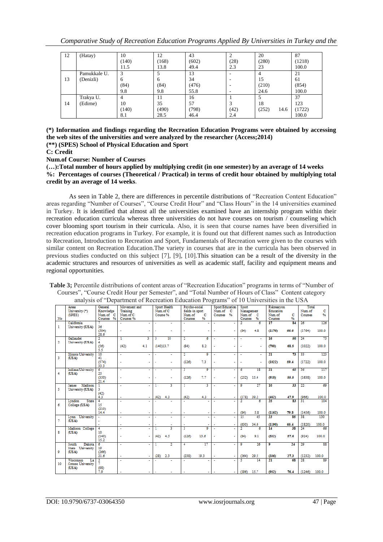| 12 | (Hatay)      | 10             | 12    | 43    |      | 20            | 87     |
|----|--------------|----------------|-------|-------|------|---------------|--------|
|    |              | (140)          | (168) | (602) | (28) | (280)         | (1218) |
|    |              | 11.5           | 13.8  | 49.4  | 2.3  | 23            | 100.0  |
|    | Pamukkale U. | 3              |       | 13    | -    | 4             | 21     |
| 13 | (Denizli)    | 6              | 6     | 34    |      | 15            | 61     |
|    |              | (84)           | (84)  | (476) |      | (210)         | (854)  |
|    |              | 9.8            | 9.8   | 55.8  |      | 24.6          | 100.0  |
|    | Trakya U.    | $\overline{4}$ | 11    | 16    |      |               | 37     |
| 14 | (Edirne)     | 10             | 35    | 57    |      | 18            | 123    |
|    |              | (140)          | (490) | (798) | (42) | (252)<br>14.6 | (1722) |
|    |              | 8.1            | 28.5  | 46.4  | 2.4  |               | 100.0  |

**(\*) Information and findings regarding the Recreation Education Programs were obtained by accessing the web sites of the universities and were analyzed by the researcher (Access;2014)**

**(\*\*) (SPES) School of Physical Education and Sport** 

**C: Credit**

**Num.of Course: Number of Courses** 

**(…):Total number of hours applied by multiplying credit (in one semester) by an average of 14 weeks %: Percentages of courses (Theoretical / Practical) in terms of credit hour obtained by multiplying total credit by an average of 14 weeks.**

As seen in Table 2, there are differences in percentile distributions of "Recreation Content Education" areas regarding "Number of Courses", "Course Credit Hour" and "Class Hours" in the 14 universities examined in Turkey. It is identified that almost all the universities examined have an internship program within their recreation education curricula whereas three universities do not have courses on tourism / counseling which cover blooming sport tourism in their curricula. Also, it is seen that course names have been diversified in recreation education programs in Turkey. For example, it is found out that different names such as Introduction to Recreation, Introduction to Recreation and Sport, Fundamentals of Recreation were given to the courses with similar content on Recreation Education.The variety in courses that are in the curricula has been observed in previous studies conducted on this subject [7], [9], [10].This situation can be a result of the diversity in the academic structures and resources of universities as well as academic staff, facility and equipment means and regional opportunities.

**Table 3;** Percentile distributions of content areas of "Recreation Education" programs in terms of "Number of Courses", "Course Credit Hour per Semester", and "Total Number of Hours of Class" Content category analysis of "Department of Recreation Education Programs" of 10 Universities in the USA

|                | Areas                      | General          | Movement and |                          |                          | Sport Health   | Psycho-social   |                | <b>Sport Education</b> |        | Sport        |                | Rekreasyon           |                 | Total        |       |
|----------------|----------------------------|------------------|--------------|--------------------------|--------------------------|----------------|-----------------|----------------|------------------------|--------|--------------|----------------|----------------------|-----------------|--------------|-------|
|                | University (*)             | Knowledge        | Training     |                          | Num of C                 |                | fields in sport |                | Num of C               |        | Management   |                | Education            |                 | Num of       | c     |
|                | (SPES)                     | Num.of C         | Num.of C     |                          | Course %                 |                | Num.of          | c              | Courses %              |        | Num.of       | c              | Num.of               | c               | Courses      | %     |
|                |                            | 96               |              |                          |                          |                |                 | 96             |                        |        |              |                |                      | 96              |              |       |
| No             |                            | Courses          | Courses %    |                          |                          |                | Courses         |                |                        |        | Courses      | 96             | Courses              |                 |              |       |
|                | California                 |                  |              |                          |                          |                |                 |                |                        | ٠      | 2            | $\overline{6}$ | 17                   | 84              | 26           | 126   |
| 1              | University (USA)           | 36               |              |                          |                          |                |                 |                |                        |        |              |                |                      |                 |              |       |
|                |                            | (504)            |              |                          |                          |                | ÷               |                |                        | ٠      | (84)         | 4.8            | (1176)               | 66.6            | (1764)       | 100.0 |
|                |                            | 28.6             |              |                          |                          |                |                 |                |                        |        |              |                |                      |                 |              |       |
|                | Gallaudet                  |                  |              | 3                        |                          | 10             |                 | $\overline{6}$ |                        |        |              |                | 16                   | 50              | 24           | 73    |
|                |                            | $\overline{2}$   | T            |                          | з                        |                | 2               |                |                        | ٠      | ٠            | ÷              |                      |                 |              |       |
| $\overline{2}$ | University (USA)           | 4                |              |                          |                          |                |                 |                |                        |        |              |                |                      |                 |              |       |
|                |                            | (56)             | (42)         | 4.1                      | (140)13.7                |                | (84)            | 8.2            |                        |        | ٠            | ٠              | (700)                | 68.5            | (1022)       | 100.0 |
|                |                            | 5.5              |              |                          |                          |                |                 |                |                        |        |              |                |                      |                 |              |       |
|                | <b>Illinois University</b> | 10 <sup>10</sup> | $\mathbf{r}$ | $\overline{\phantom{a}}$ | ÷.                       | ÷.             | $\overline{2}$  | ٥              | $\overline{a}$         | ä,     | ÷.           | ÷.             | 21                   | 73              | 33           | 123   |
| 3              | (USA)                      | 41               |              |                          |                          |                |                 |                |                        |        |              |                |                      |                 |              |       |
|                |                            |                  |              |                          |                          |                |                 |                |                        |        |              |                |                      |                 |              |       |
|                |                            | (574)            | ٠            |                          |                          |                | (126)           | 7.3            |                        |        |              | ä,             | (1022)               | 59.4            | (1722)       | 100.0 |
|                |                            | 33.3             |              |                          |                          |                |                 |                |                        |        |              |                |                      |                 |              |       |
|                | Indiana University         | 6                | $\mathbf{r}$ |                          | $\overline{a}$           | ٠              | 3.              | o              |                        | ä,     | 6            | 18             | 21                   | 65              | 36           | 117   |
| 4              | (USA)                      | 25               |              |                          |                          |                |                 |                |                        |        |              |                |                      |                 |              |       |
|                |                            | (350)            | $\sim$       | $\sim$                   | $\overline{\phantom{a}}$ | ٠              | (126)           | 7.7            | ÷,                     | ٠      | (252)        | 15.4           | (910)                | 55.5            | (1638)       | 100.0 |
|                |                            | 21.4             |              |                          |                          |                |                 |                |                        |        |              |                |                      |                 |              |       |
|                |                            |                  |              |                          |                          |                |                 |                |                        |        |              |                |                      |                 |              |       |
|                | Madison<br>James           | т                | $\sim$       | ÷                        |                          | 3.             | T               | 3              |                        | ٠      | 9            | 27             | 10                   | 33              | $22^{\circ}$ | 69    |
| 5              | University (USA)           | 3.               |              |                          |                          |                |                 |                |                        |        |              |                |                      |                 |              |       |
|                |                            | (42)             |              |                          |                          |                |                 |                |                        |        |              |                |                      |                 |              |       |
|                |                            | 4.3              | ×.           | ÷                        | (42)                     | 4.3            | (42)            | 4.3            |                        | ÷      | (378)        | 39.2           | (462)                | 47.9            | (966)        | 100.0 |
|                | Lyndon<br><b>State</b>     | 4                | $\sim$       |                          |                          |                |                 |                |                        |        |              |                | 25                   | 83              | 31           | 104   |
| 6              | College (USA)              | 15               |              |                          |                          |                |                 |                |                        |        |              |                |                      |                 |              |       |
|                |                            |                  |              |                          |                          |                |                 |                |                        |        |              |                |                      |                 |              |       |
|                |                            | (210)            |              |                          |                          |                |                 |                |                        |        |              |                |                      |                 |              |       |
|                |                            | 14.4             | ÷            | ٠                        | ٠                        |                | ٠               |                |                        | ٠      | (84)         | 5.8            | (1162)               | 79.8            | (1456)       | 100.0 |
|                | Lynn University            |                  |              |                          | ÷.                       |                | ×               |                |                        | ٠      | 15           | 45             | 23                   | 85              | 38           | 130   |
| 7              | (USA)                      |                  |              |                          |                          |                |                 |                |                        |        |              |                |                      |                 |              |       |
|                |                            | ÷.               | ×.           | ٠                        |                          | ۰              | $\sim$          |                |                        | ٠      | (630)        | 34.6           | (1190)               | 65.4            | (1820)       | 100.0 |
|                | Madison College            | 4                | ÷.           |                          |                          | R              | 3               | ۰              |                        |        |              |                | 14                   | 38              | 24           | 66    |
|                |                            |                  |              |                          |                          |                |                 |                |                        |        |              |                |                      |                 |              |       |
| 8              | (USA)                      | 10               |              |                          |                          |                |                 |                |                        |        |              |                |                      |                 |              |       |
|                |                            | (140)            | $\sim$       | $\sim$                   | (42)                     | 4.5            | (126)           | 13.6           | ä,                     | $\sim$ | (84)         | 9.1            | (532)                | 57.6            | (924)        | 100.0 |
|                |                            | 15.2             |              |                          |                          |                |                 |                |                        |        |              |                |                      |                 |              |       |
|                | <b>Dakota</b><br>South     | $\overline{6}$   | ٠            | $\overline{\phantom{a}}$ | 1                        | $\overline{2}$ | 4               | 17             | ÷                      | ÷,     | 9            | 26             | $\overline{\bullet}$ | $\overline{24}$ | 29           | 88    |
|                | State University           | 19               |              |                          |                          |                |                 |                |                        |        |              |                |                      |                 |              |       |
| 9              |                            |                  |              |                          |                          |                |                 |                |                        |        |              |                |                      |                 |              |       |
|                | (USA)                      | (266)            |              |                          |                          |                |                 |                |                        |        |              |                |                      |                 |              |       |
|                |                            | 21.6             | ÷            | ٠                        | (28)                     | 2.3            | (238)           | 19.3           |                        | ٠      | (364)        | 29.5           | (336)                | 27.3            | (1232)       | 100.0 |
|                | Wisconsin<br>Tэ            | $\overline{2}$   |              |                          |                          |                |                 |                |                        |        | ς            | 14             | $\overline{21}$      | 68              | 28           | 89    |
| 10             | Crosse University          | 7                |              |                          |                          |                |                 |                |                        |        |              |                |                      |                 |              |       |
|                | (USA)                      | (98)             |              |                          |                          |                |                 |                |                        |        |              |                |                      |                 |              |       |
|                |                            | 7.9              |              |                          |                          |                |                 |                |                        |        | $(196)$ 15.7 |                | (952)                | 76.4            | (1246)       | 100.0 |
|                |                            |                  |              |                          |                          |                |                 |                |                        | ×.     |              |                |                      |                 |              |       |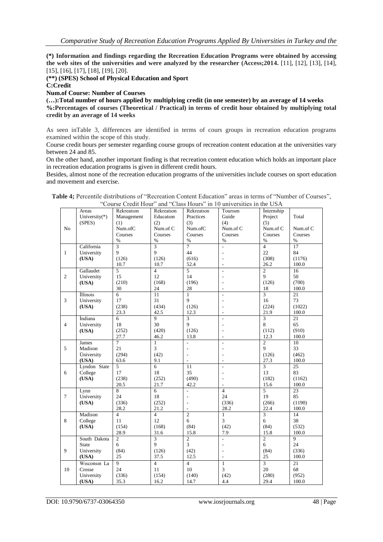**(\*) Information and findings regarding the Recreation Education Programs were obtained by accessing the web sites of the universities and were analyzed by the researcher (Access;2014.** [11], [12], [13], [14], [15], [16], [17], [18], [19], [20].

**(\*\*) (SPES) School of Physical Education and Sport** 

**C:Credit**

**Num.of Course: Number of Courses** 

**(…):Total number of hours applied by multiplying credit (in one semester) by an average of 14 weeks %:Percentages of courses (Theoretical / Practical) in terms of credit hour obtained by multiplying total credit by an average of 14 weeks**

As seen inTable 3, differences are identified in terms of cours groups in recreation education programs examined within the scope of this study.

Course credit hours per semester regarding course groups of recreation content education at the universities vary between 24 and 85.

On the other hand, another important finding is that recreation content education which holds an important place in recreation education programs is given in different credit hours.

Besides, almost none of the recreation education programs of the universities include courses on sport education and movement and exercise.

|                | Areas           | Rekreation     | Rekreation     | Rekreation               | Tourism                      | İnternship     |                 |
|----------------|-----------------|----------------|----------------|--------------------------|------------------------------|----------------|-----------------|
|                | University(*)   | Management     | Education      | Practices                | Guide                        | Project        | Total           |
|                | (SPES)          | (1)            | (2)            | (3)                      | (4)                          | (5)            |                 |
| No             |                 | Num.ofC        | Num.of C       | Num.ofC                  | Num.of C                     | Num.of C       | Num.of C        |
|                |                 |                |                |                          |                              |                |                 |
|                |                 | Courses        | Courses        | Courses                  | Courses                      | Courses        | Courses         |
|                |                 | $\%$           | $\frac{0}{0}$  | $\%$                     | $\%$                         | $\%$           | $\%$            |
|                | California      | 3              | $\overline{3}$ | $\overline{7}$           | $\overline{a}$               | $\overline{4}$ | 17              |
| $\mathbf{1}$   | University      | 9              | 9              | 44                       | $\overline{a}$               | 22             | 84              |
|                |                 |                |                |                          |                              |                |                 |
|                | (USA)           | (126)          | (126)          | (616)                    | $\overline{a}$               | (308)          | (1176)          |
|                |                 | 10.7           | 10.7           | 52.4                     | $\overline{a}$               | 26.2           | 100.0           |
|                | Gallaudet       | 5              | $\overline{4}$ | 5                        | $\overline{a}$               | $\overline{2}$ | 16              |
| $\overline{c}$ | University      | 15             | 12             | 14                       | $\overline{a}$               | 9              | 50              |
|                |                 |                |                |                          |                              |                |                 |
|                | (USA)           | (210)          | (168)          | (196)                    | $\qquad \qquad \blacksquare$ | (126)          | (700)           |
|                |                 | 30             | 24             | 28                       | $\overline{a}$               | 18             | 100.0           |
|                | <i>Illinois</i> | 6              | 11             | $\mathbf{1}$             | $\overline{a}$               | $\overline{3}$ | $\overline{21}$ |
| $\overline{3}$ | University      | 17             | 31             | 9                        | $\overline{\phantom{a}}$     | 16             | 73              |
|                |                 |                |                |                          |                              |                |                 |
|                | (USA)           | (238)          | (434)          | (126)                    | $\qquad \qquad \blacksquare$ | (224)          | (1022)          |
|                |                 | 23.3           | 42.5           | 12.3                     | $\overline{\phantom{a}}$     | 21.9           | 100.0           |
|                | İndiana         | 6              | 9              | 3                        | $\overline{a}$               | $\overline{3}$ | 21              |
| $\overline{4}$ | University      | 18             | 30             | 9                        | $\overline{a}$               | 8              | 65              |
|                | (USA)           | (252)          | (420)          | (126)                    | $\overline{\phantom{a}}$     | (112)          | (910)           |
|                |                 |                |                |                          |                              |                |                 |
|                |                 | 27.7           | 46.2           | 13.8                     | $\overline{a}$               | 12.3           | 100.0           |
|                | James           | $\overline{7}$ | $\mathbf{1}$   | $\overline{a}$           | $\overline{a}$               | $\overline{c}$ | 10              |
| 5              | Madison         | 21             | 3              | $\overline{\phantom{0}}$ | $\overline{a}$               | 9              | 33              |
|                | Üniversity      | (294)          | (42)           | $\overline{a}$           |                              | (126)          | (462)           |
|                |                 |                |                |                          |                              |                |                 |
|                | (USA)           | 63.6           | 9.1            | $\overline{\phantom{a}}$ | $\frac{1}{2}$                | 27.3           | 100.0           |
|                | Lyndon State    | 5              | $\overline{6}$ | 11                       | $\overline{a}$               | 3              | 25              |
| 6              | College         | 17             | 18             | 35                       |                              | 13             | 83              |
|                | (USA)           | (238)          | (252)          | (490)                    | $\frac{1}{2}$                | (182)          | (1162)          |
|                |                 | 20.5           | 21.7           | 42.2                     | ÷                            | 15.6           | 100.0           |
|                |                 |                |                |                          |                              |                |                 |
|                | Lynn            | 8              | 6              | $\overline{a}$           | $\overline{4}$               | $\overline{5}$ | $\overline{23}$ |
| $\tau$         | University      | 24             | 18             | $\overline{\phantom{0}}$ | 24                           | 19             | 85              |
|                | (USA)           | (336)          | (252)          | $\overline{a}$           | (336)                        | (266)          | (1190)          |
|                |                 | 28.2           | 21.2           | $\overline{\phantom{a}}$ | 28.2                         | 22.4           | 100.0           |
|                |                 |                |                |                          |                              |                |                 |
|                | Madison         | $\overline{4}$ | $\overline{4}$ | $\overline{2}$           | $\mathbf{1}$                 | $\overline{3}$ | 14              |
| 8              | College         | 11             | 12             | 6                        | $\overline{3}$               | 6              | 38              |
|                | (USA)           | (154)          | (168)          | (84)                     | (42)                         | (84)           | (532)           |
|                |                 | 28.9           | 31.6           | 15.8                     | 7.9                          | 15.8           | 100.0           |
|                | South Dakota    | $\overline{2}$ | $\overline{3}$ | $\overline{2}$           | $\overline{a}$               | $\overline{2}$ | $\overline{9}$  |
|                |                 |                |                |                          |                              |                |                 |
|                | <b>State</b>    | 6              | 9              | 3                        | $\overline{a}$               | 6              | 24              |
| 9              | University      | (84)           | (126)          | (42)                     |                              | (84)           | (336)           |
|                | (USA)           | 25             | 37.5           | 12.5                     | $\overline{a}$               | 25             | 100.0           |
|                |                 | 9              | $\overline{4}$ | $\overline{4}$           |                              |                |                 |
|                | Wisconsin La    |                |                |                          | $\mathbf{1}$                 | $\overline{3}$ | 21              |
| 10             | Crosse          | 24             | 11             | $10\,$                   | 3                            | 20             | 68              |
|                | University      | (336)          | (154)          | (140)                    | (42)                         | (280)          | (952)           |
|                | (USA)           | 35.3           | 16.2           | 14.7                     | 4.4                          | 29.4           | 100.0           |
|                |                 |                |                |                          |                              |                |                 |

**Table 4;** Percentile distributions of "Recreation Content Education" areas in terms of "Number of Courses", "Course Credit Hour" and "Class Hours" in 10 universities in the USA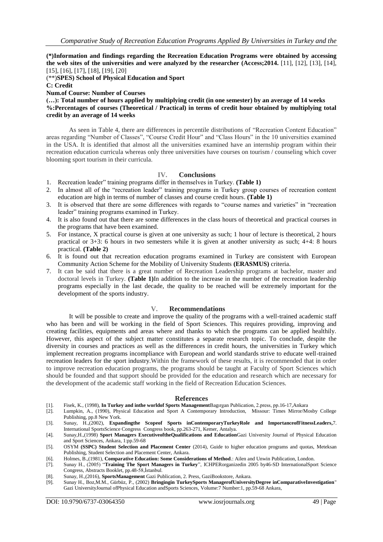**(\*)Information and findings regarding the Recreation Education Programs were obtained by accessing the web sites of the universities and were analyzed by the researcher (Access;2014.** [11], [12], [13], [14], [15], [16], [17], [18], [19], [20]

(\*\*)**SPES) School of Physical Education and Sport** 

**C: Credit**

**Num.of Course: Number of Courses** 

**(…): Total number of hours applied by multiplying credit (in one semester) by an average of 14 weeks %:Percentages of courses (Theoretical / Practical) in terms of credit hour obtained by multiplying total credit by an average of 14 weeks**

As seen in Table 4, there are differences in percentile distributions of "Recreation Content Education" areas regarding "Number of Classes", "Course Credit Hour" and "Class Hours" in the 10 universities examined in the USA. It is identified that almost all the universities examined have an internship program within their recreation education curricula whereas only three universities have courses on tourism / counseling which cover blooming sport tourism in their curricula.

#### **IV. Conclusions**

- 1. Recreation leader" training programs differ in themselves in Turkey. **(Table 1)**
- 2. In almost all of the "recreation leader" training programs in Turkey group courses of recreation content education are high in terms of number of classes and course credit hours. **(Table 1)**
- 3. It is observed that there are some differences with regards to "course names and varieties" in "recreation leader" training programs examined in Turkey.
- 4. It is also found out that there are some differences in the class hours of theoretical and practical courses in the programs that have been examined.
- 5. For instance, X practical course is given at one university as such; 1 hour of lecture is theoretical, 2 hours practical or 3+3: 6 hours in two semesters while it is given at another university as such; 4+4: 8 hours practical. **(Table 2)**
- 6. It is found out that recreation education programs examined in Turkey are consistent with European Community Action Scheme for the Mobility of University Students **(ERASMUS)** criteria.
- 7. It can be said that there is a great number of Recreation Leadership programs at bachelor, master and doctoral levels in Turkey. **(Table 1)**In addition to the increase in the number of the recreation leadership programs especially in the last decade, the quality to be reached will be extremely important for the development of the sports industry.

#### **V. Recommendations**

It will be possible to create and improve the quality of the programs with a well-trained academic staff who has been and will be working in the field of Sport Sciences. This requires providing, improving and creating facilities, equipments and areas where and thanks to which the programs can be applied healthily. However, this aspect of the subject matter constitutes a separate research topic. To conclude, despite the diversity in courses and practices as well as the differences in credit hours, the universities in Turkey which implement recreation programs incompliance with European and world standards strive to educate well-trained recreation leaders for the sport industry.Within the framework of these results, it is recommended that in order to improve recreation education programs, the programs should be taught at Faculty of Sport Sciences which should be founded and that support should be provided for the education and research which are necessary for the development of the academic staff working in the field of Recreation Education Sciences.

#### **References**

- [1]. Fisek, K., (1998), **In Turkey and inthe worldof Sports Management**Bagırgan Publication, 2.press, pp.16-17,Ankara
- [2]. Lumpkin, A., (1990), Physical Education and Sport A Contemporary Introduction, Missour: Times Mirror/Mosby College Publishing, pp.8 New York.
- [3]. Sunay, H.,(2002), **Expandingthe Scopeof Sports inContemporaryTurkeyRole and ImportanceofFitnessLeaders,**7. International SportsScience Congress Congress book, pp.263-271, Kemer, Antalya.
- [4]. Sunay,H.,(1998) **Sport Managers ExecutiveoftheQualifications and Education**Gazi University Journal of Physical Education and Sport Sciences, Ankara, 1:pp.59-68
- [5]. OSYM **(SSPC) Student Selection and Placement Center** (2014), Guide to higher education programs and quotas, Meteksan Publishing, Student Selection and Placement Center, Ankara.
- [6]. Holmes, B.,(1981), **Comparative Education: Some Considerations of Method**.: Ailen and Unwin Publication, London.
- [7]. Sunay H., (2005) "**Training The Sport Managers in Turkey**", ICHPERorganizedin 2005 by46-SD InternationalSport Science Congress, Abstracts Booklet, pp.48-58,İstanbul.
- [8]. Sunay, H.,(2016), **SportsManagement** Gazi Publication, 2. Press, GaziBookstore, Ankara.
- [9]. Sunay H., Boz,M.M., Gürbüz, P., (2002) **Bringingin TurkeySports ManagerofUniversityDegree inComparativeInvestigation**" Gazi UniversityJournal ofPhysical Education andSports Sciences, Volume:7 Number:1, pp.59-68 Ankara,